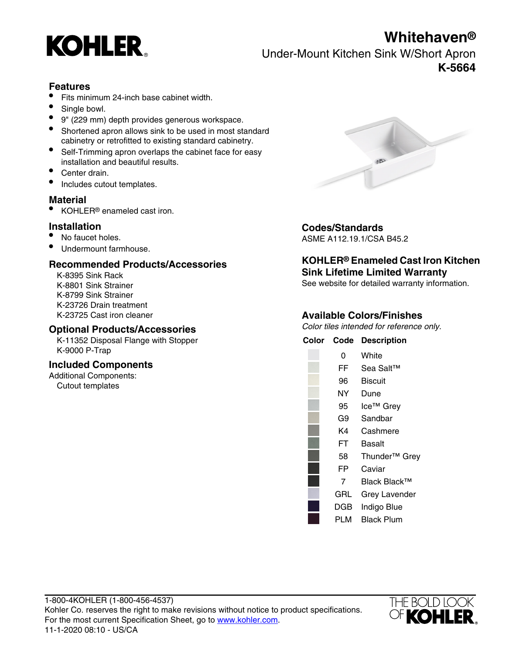# **Whitehaven®**



Under-Mount Kitchen Sink W/Short Apron **K-5664**

## **Features**

- Fits minimum 24-inch base cabinet width.
- Single bowl.
- 9" (229 mm) depth provides generous workspace.
- Shortened apron allows sink to be used in most standard cabinetry or retrofitted to existing standard cabinetry.
- Self-Trimming apron overlaps the cabinet face for easy installation and beautiful results.
- Center drain.
- Includes cutout templates.

## **Material**

• KOHLER<sup>®</sup> enameled cast iron.

- 
- Undermount farmhouse.

## **Recommended Products/Accessories**

K-8395 Sink Rack K-8799 Sink Strainer K-23726 Drain treatment K-23725 Cast iron cleaner

### **Optional Products/Accessories**

K-11352 Disposal Flange with Stopper K-9000 P-Trap

## **Included Components**

Additional Components: Cutout templates



# **Installation**<br>
• No faucet holes.<br>
• No faucet holes.<br> **•** No faucet holes.

ASME A112.19.1/CSA B45.2

## **KOHLER® Enameled Cast Iron Kitchen Sink Lifetime Limited Warranty**

K-8801 Sink Strainer See website for detailed warranty information.

## **Available Colors/Finishes**

Color tiles intended for reference only.

| Color | Code | <b>Description</b>        |
|-------|------|---------------------------|
|       | 0    | White                     |
|       | FF   | Sea Salt™                 |
|       | 96   | <b>Biscuit</b>            |
|       | NΥ   | Dune                      |
|       | 95   | Ice™ Grey                 |
|       | G9   | Sandbar                   |
|       | K4   | Cashmere                  |
|       | FT   | Basalt                    |
|       | 58   | Thunder <sup>™</sup> Grey |
|       | FP   | Caviar                    |
|       | 7    | Black Black™              |
|       | GRL  | <b>Grey Lavender</b>      |
|       | DGB  | Indigo Blue               |
|       | PLM  | Black Plum                |